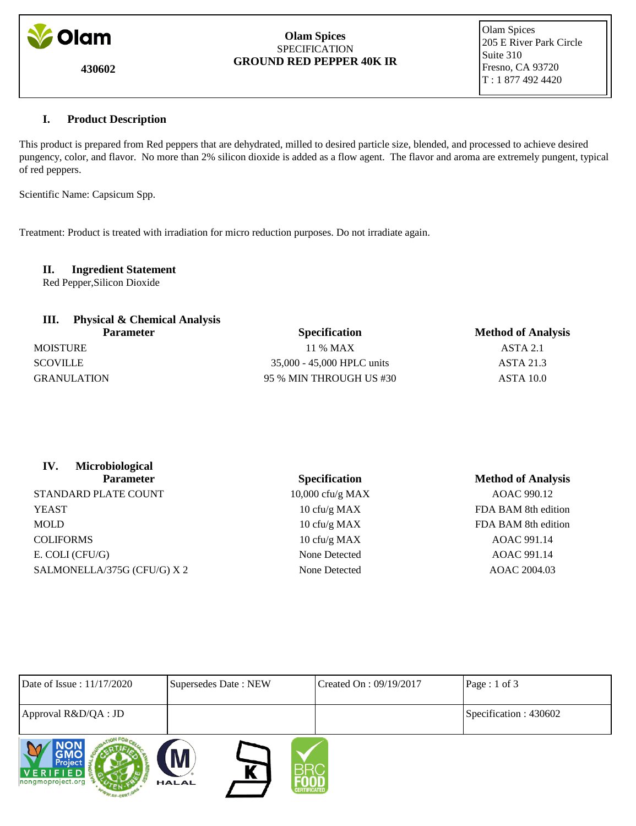

**430602**

### **Olam Spices SPECIFICATION GROUND RED PEPPER 40K IR**

 Olam Spices 205 E River Park Circle Suite 310 Fresno, CA 93720 T : 1 877 492 4420

# **I. Product Description**

This product is prepared from Red peppers that are dehydrated, milled to desired particle size, blended, and processed to achieve desired pungency, color, and flavor. No more than 2% silicon dioxide is added as a flow agent. The flavor and aroma are extremely pungent, typical of red peppers.

Scientific Name: Capsicum Spp.

Treatment: Product is treated with irradiation for micro reduction purposes. Do not irradiate again.

 **II. Ingredient Statement** Red Pepper,Silicon Dioxide

| <b>Physical &amp; Chemical Analysis</b><br><b>Parameter</b> | <b>Specification</b>       | <b>Method of Analysis</b> |  |
|-------------------------------------------------------------|----------------------------|---------------------------|--|
| <b>MOISTURE</b>                                             | 11 % MAX                   | ASTA 2.1                  |  |
| <b>SCOVILLE</b>                                             | 35,000 - 45,000 HPLC units | <b>ASTA 21.3</b>          |  |
| <b>GRANULATION</b>                                          | 95 % MIN THROUGH US #30    | ASTA 10.0                 |  |
|                                                             |                            |                           |  |

| Microbiological<br>IV.<br><b>Parameter</b> | <b>Specification</b> | <b>Method of Analysis</b> |
|--------------------------------------------|----------------------|---------------------------|
| STANDARD PLATE COUNT                       | $10,000$ cfu/g MAX   | AOAC 990.12               |
| <b>YEAST</b>                               | 10 cfu/g MAX         | FDA BAM 8th edition       |
| MOLD                                       | 10 cfu/g MAX         | FDA BAM 8th edition       |
| <b>COLIFORMS</b>                           | 10 cfu/g MAX         | AOAC 991.14               |
| E. COLI (CFU/G)                            | None Detected        | AOAC 991.14               |
| SALMONELLA/375G (CFU/G) X 2                | None Detected        | AOAC 2004.03              |
|                                            |                      |                           |

| Date of Issue: 11/17/2020                | Supersedes Date: NEW              | Created On : 09/19/2017 | Page : 1 of 3         |
|------------------------------------------|-----------------------------------|-------------------------|-----------------------|
| Approval R&D/QA : JD                     |                                   |                         | Specification: 430602 |
| Project<br>VERIFIED<br>nongmoproject.org | M<br><b>HALAL</b><br>CERTIFICATED |                         |                       |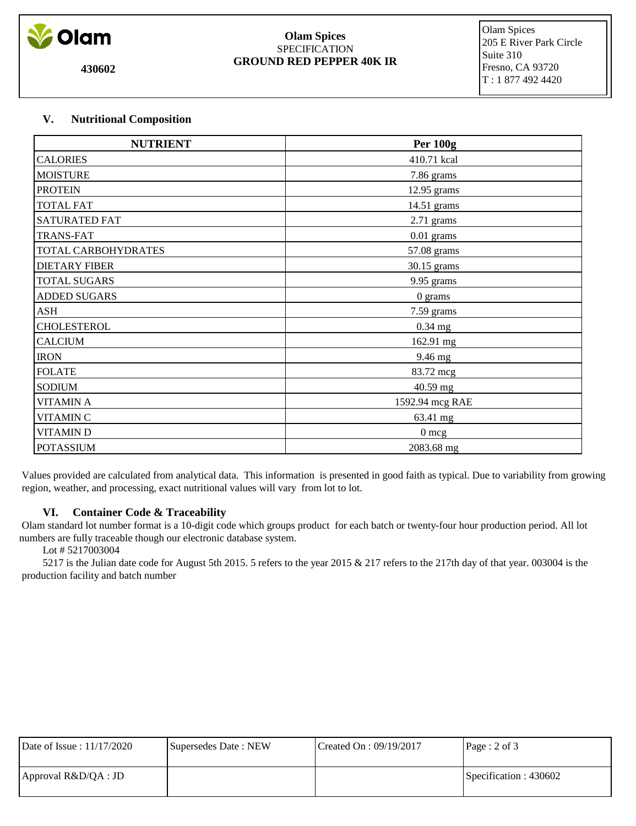

**430602**

#### **Olam Spices** SPECIFICATION **GROUND RED PEPPER 40K IR**

 Olam Spices 205 E River Park Circle Suite 310 Fresno, CA 93720 T : 1 877 492 4420

# **V. Nutritional Composition**

| <b>NUTRIENT</b>      | <b>Per 100g</b> |
|----------------------|-----------------|
| <b>CALORIES</b>      | 410.71 kcal     |
| <b>MOISTURE</b>      | 7.86 grams      |
| <b>PROTEIN</b>       | 12.95 grams     |
| <b>TOTAL FAT</b>     | 14.51 grams     |
| SATURATED FAT        | $2.71$ grams    |
| <b>TRANS-FAT</b>     | $0.01$ grams    |
| TOTAL CARBOHYDRATES  | 57.08 grams     |
| <b>DIETARY FIBER</b> | 30.15 grams     |
| <b>TOTAL SUGARS</b>  | 9.95 grams      |
| <b>ADDED SUGARS</b>  | 0 grams         |
| <b>ASH</b>           | 7.59 grams      |
| <b>CHOLESTEROL</b>   | $0.34$ mg       |
| <b>CALCIUM</b>       | 162.91 mg       |
| <b>IRON</b>          | 9.46 mg         |
| <b>FOLATE</b>        | 83.72 mcg       |
| <b>SODIUM</b>        | 40.59 mg        |
| <b>VITAMIN A</b>     | 1592.94 mcg RAE |
| <b>VITAMIN C</b>     | 63.41 mg        |
| <b>VITAMIND</b>      | $0 \text{ mcg}$ |
| <b>POTASSIUM</b>     | 2083.68 mg      |

 Values provided are calculated from analytical data. This information is presented in good faith as typical. Due to variability from growing region, weather, and processing, exact nutritional values will vary from lot to lot.

## **VI. Container Code & Traceability**

 Olam standard lot number format is a 10-digit code which groups product for each batch or twenty-four hour production period. All lot numbers are fully traceable though our electronic database system.

## Lot # 5217003004

 5217 is the Julian date code for August 5th 2015. 5 refers to the year 2015 & 217 refers to the 217th day of that year. 003004 is the production facility and batch number

| Date of Issue: 11/17/2020 | Supersedes Date: NEW | Created On : $09/19/2017$ | Page : $2 \text{ of } 3$ |
|---------------------------|----------------------|---------------------------|--------------------------|
| $A$ pproval R&D/QA : JD   |                      |                           | Specification : 430602   |